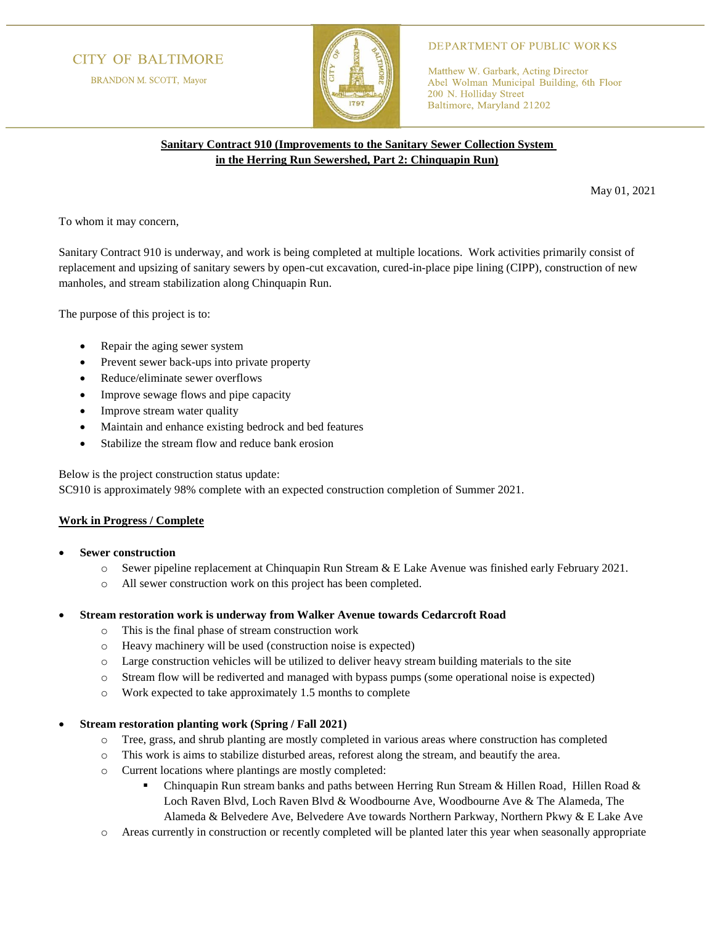# **CITY OF BALTIMORE**

BRANDON M. SCOTT, Mayor



## **DEPARTMENT OF PUBLIC WORKS**

Matthew W. Garbark, Acting Director Abel Wolman Municipal Building, 6th Floor 200 N. Holliday Street Baltimore, Maryland 21202

# **Sanitary Contract 910 (Improvements to the Sanitary Sewer Collection System in the Herring Run Sewershed, Part 2: Chinquapin Run)**

May 01, 2021

To whom it may concern,

Sanitary Contract 910 is underway, and work is being completed at multiple locations. Work activities primarily consist of replacement and upsizing of sanitary sewers by open-cut excavation, cured-in-place pipe lining (CIPP), construction of new manholes, and stream stabilization along Chinquapin Run.

The purpose of this project is to:

- Repair the aging sewer system
- Prevent sewer back-ups into private property
- Reduce/eliminate sewer overflows
- Improve sewage flows and pipe capacity
- Improve stream water quality
- Maintain and enhance existing bedrock and bed features
- Stabilize the stream flow and reduce bank erosion

Below is the project construction status update:

SC910 is approximately 98% complete with an expected construction completion of Summer 2021.

## **Work in Progress / Complete**

- **Sewer construction**
	- o Sewer pipeline replacement at Chinquapin Run Stream & E Lake Avenue was finished early February 2021.
	- o All sewer construction work on this project has been completed.

## • **Stream restoration work is underway from Walker Avenue towards Cedarcroft Road**

- o This is the final phase of stream construction work
- o Heavy machinery will be used (construction noise is expected)
- o Large construction vehicles will be utilized to deliver heavy stream building materials to the site
- o Stream flow will be rediverted and managed with bypass pumps (some operational noise is expected)
- o Work expected to take approximately 1.5 months to complete

## • **Stream restoration planting work (Spring / Fall 2021)**

- o Tree, grass, and shrub planting are mostly completed in various areas where construction has completed
- o This work is aims to stabilize disturbed areas, reforest along the stream, and beautify the area.
- o Current locations where plantings are mostly completed:
	- Chinquapin Run stream banks and paths between Herring Run Stream & Hillen Road, Hillen Road & Loch Raven Blvd, Loch Raven Blvd & Woodbourne Ave, Woodbourne Ave & The Alameda, The Alameda & Belvedere Ave, Belvedere Ave towards Northern Parkway, Northern Pkwy & E Lake Ave
- Areas currently in construction or recently completed will be planted later this year when seasonally appropriate